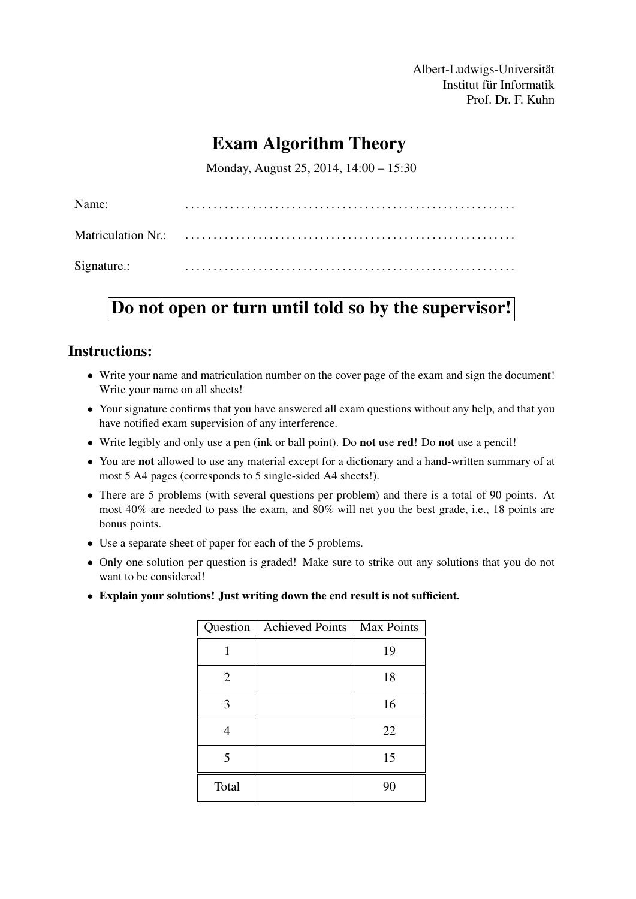Albert-Ludwigs-Universität Institut für Informatik Prof. Dr. F. Kuhn

## Exam Algorithm Theory

Monday, August 25, 2014, 14:00 – 15:30

| Name:       |  |
|-------------|--|
|             |  |
| Signature.: |  |

# Do not open or turn until told so by the supervisor!

#### Instructions:

- Write your name and matriculation number on the cover page of the exam and sign the document! Write your name on all sheets!
- Your signature confirms that you have answered all exam questions without any help, and that you have notified exam supervision of any interference.
- Write legibly and only use a pen (ink or ball point). Do not use red! Do not use a pencil!
- You are not allowed to use any material except for a dictionary and a hand-written summary of at most 5 A4 pages (corresponds to 5 single-sided A4 sheets!).
- There are 5 problems (with several questions per problem) and there is a total of 90 points. At most 40% are needed to pass the exam, and 80% will net you the best grade, i.e., 18 points are bonus points.
- Use a separate sheet of paper for each of the 5 problems.
- Only one solution per question is graded! Make sure to strike out any solutions that you do not want to be considered!
- Explain your solutions! Just writing down the end result is not sufficient.

|       | Question   Achieved Points | <b>Max Points</b> |
|-------|----------------------------|-------------------|
|       |                            | 19                |
| 2     |                            | 18                |
| 3     |                            | 16                |
|       |                            | 22                |
| 5     |                            | 15                |
| Total |                            | 90                |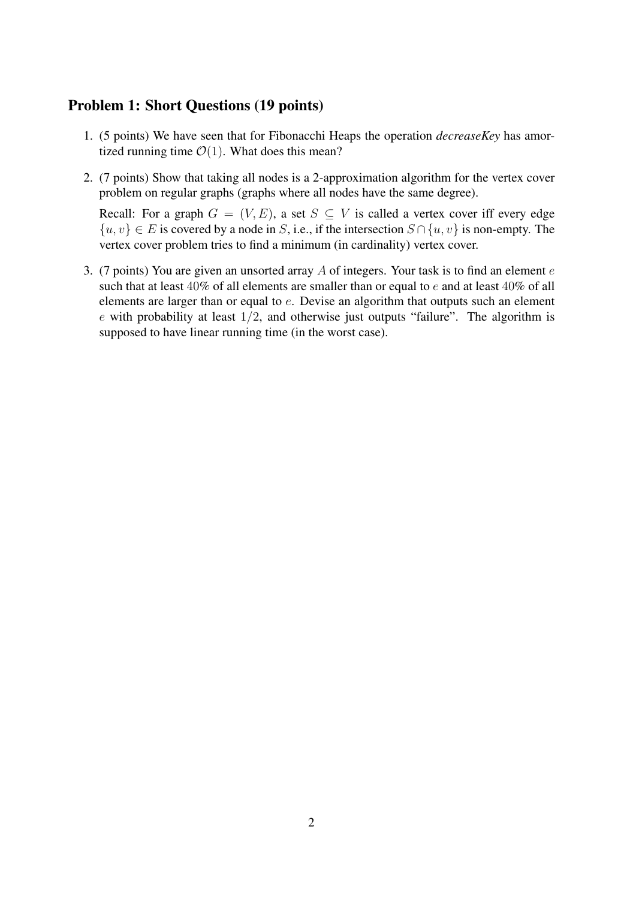#### Problem 1: Short Questions (19 points)

- 1. (5 points) We have seen that for Fibonacchi Heaps the operation *decreaseKey* has amortized running time  $\mathcal{O}(1)$ . What does this mean?
- 2. (7 points) Show that taking all nodes is a 2-approximation algorithm for the vertex cover problem on regular graphs (graphs where all nodes have the same degree).

Recall: For a graph  $G = (V, E)$ , a set  $S \subseteq V$  is called a vertex cover iff every edge  $\{u, v\} \in E$  is covered by a node in S, i.e., if the intersection  $S \cap \{u, v\}$  is non-empty. The vertex cover problem tries to find a minimum (in cardinality) vertex cover.

3. (7 points) You are given an unsorted array  $A$  of integers. Your task is to find an element  $e$ such that at least  $40\%$  of all elements are smaller than or equal to e and at least  $40\%$  of all elements are larger than or equal to  $e$ . Devise an algorithm that outputs such an element  $e$  with probability at least  $1/2$ , and otherwise just outputs "failure". The algorithm is supposed to have linear running time (in the worst case).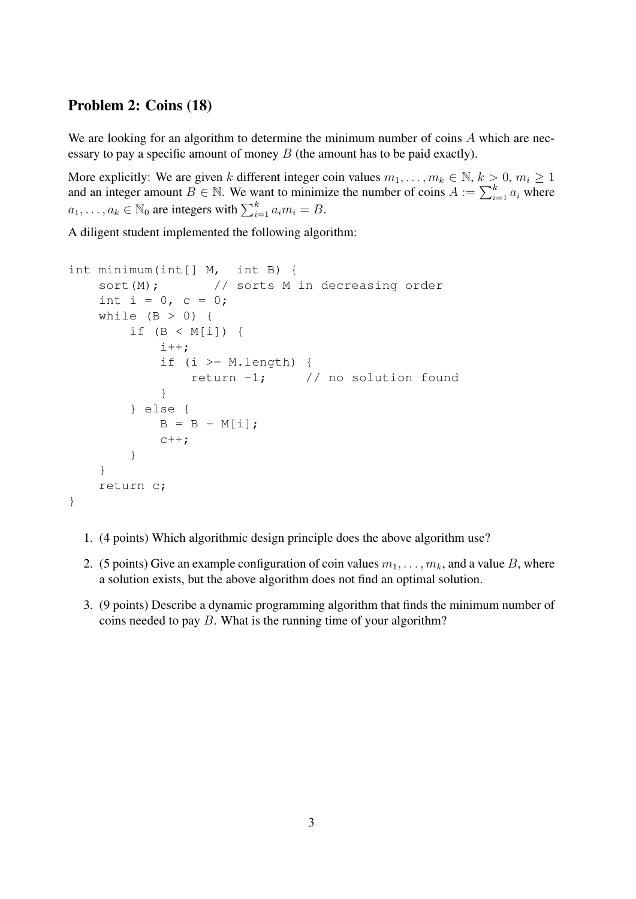#### Problem 2: Coins (18)

We are looking for an algorithm to determine the minimum number of coins A which are necessary to pay a specific amount of money  $B$  (the amount has to be paid exactly).

More explicitly: We are given k different integer coin values  $m_1, \ldots, m_k \in \mathbb{N}, k > 0, m_i \ge 1$ and an integer amount  $B \in \mathbb{N}$ . We want to minimize the number of coins  $A := \sum_{i=1}^{k} a_i$  where  $a_1, \ldots, a_k \in \mathbb{N}_0$  are integers with  $\sum_{i=1}^k a_i m_i = B$ .

A diligent student implemented the following algorithm:

```
int minimum(int[] M, int B) {
    sort(M); \frac{1}{2} // sorts M in decreasing order
    int i = 0, c = 0;while (B > 0) {
        if (B < M[i]) {
            i++;if (i \geq M.length) {
                return -1; // no solution found
            }
        } else {
            B = B - M[i];c++;}
    }
    return c;
}
```
- 1. (4 points) Which algorithmic design principle does the above algorithm use?
- 2. (5 points) Give an example configuration of coin values  $m_1, \ldots, m_k$ , and a value B, where a solution exists, but the above algorithm does not find an optimal solution.
- 3. (9 points) Describe a dynamic programming algorithm that finds the minimum number of coins needed to pay B. What is the running time of your algorithm?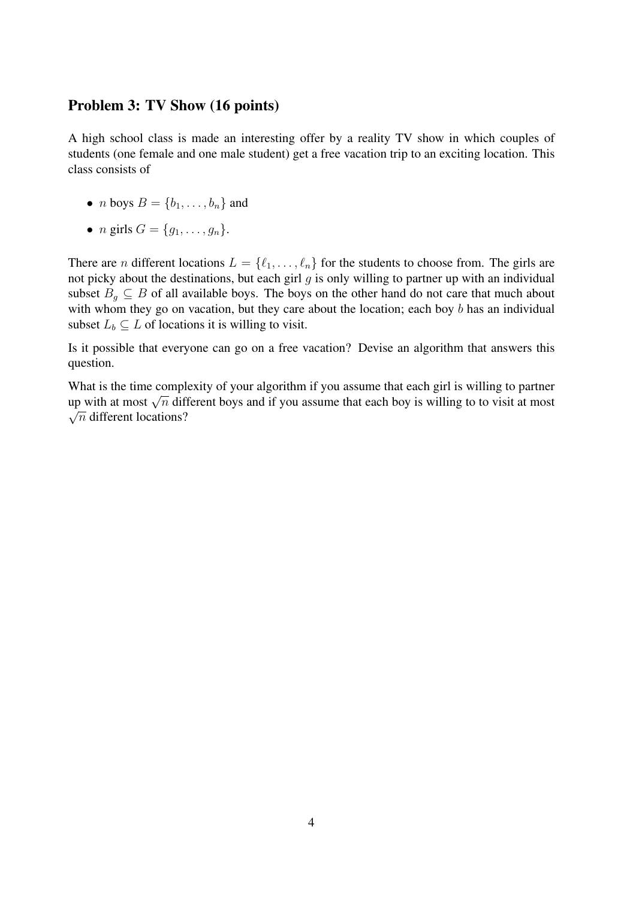#### Problem 3: TV Show (16 points)

A high school class is made an interesting offer by a reality TV show in which couples of students (one female and one male student) get a free vacation trip to an exciting location. This class consists of

- *n* boys  $B = \{b_1, \ldots, b_n\}$  and
- *n* girls  $G = \{q_1, ..., q_n\}.$

There are *n* different locations  $L = \{\ell_1, \ldots, \ell_n\}$  for the students to choose from. The girls are not picky about the destinations, but each girl  $q$  is only willing to partner up with an individual subset  $B_q \subseteq B$  of all available boys. The boys on the other hand do not care that much about with whom they go on vacation, but they care about the location; each boy  $b$  has an individual subset  $L_b \subseteq L$  of locations it is willing to visit.

Is it possible that everyone can go on a free vacation? Devise an algorithm that answers this question.

What is the time complexity of your algorithm if you assume that each girl is willing to partner what is the three complexity of your argorithm in you assume that each gift is willing to partner up with at most  $\sqrt{n}$  different boys and if you assume that each boy is willing to to visit at most  $\sqrt{n}$  different locations?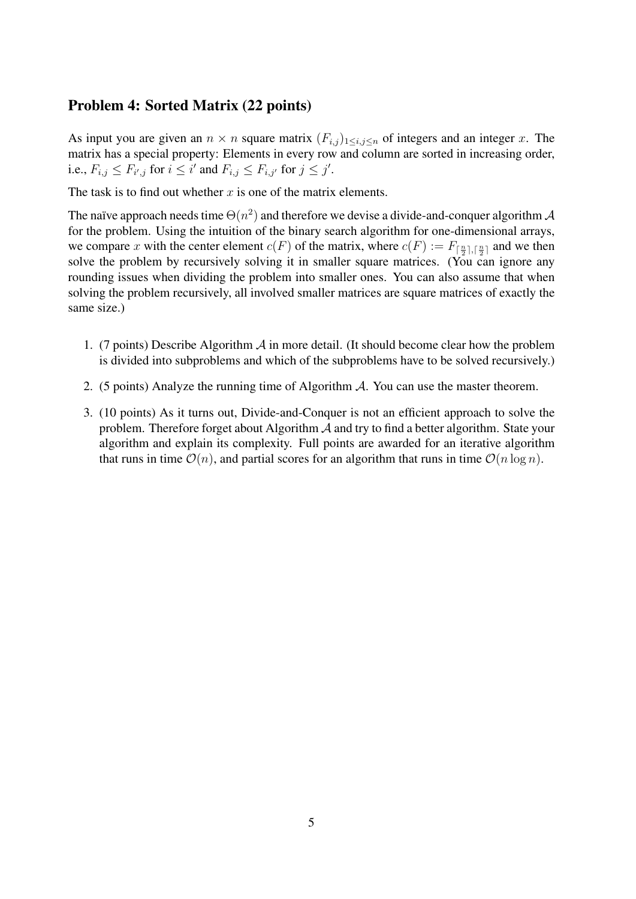## Problem 4: Sorted Matrix (22 points)

As input you are given an  $n \times n$  square matrix  $(F_{i,j})_{1 \le i,j \le n}$  of integers and an integer x. The matrix has a special property: Elements in every row and column are sorted in increasing order, i.e.,  $F_{i,j} \leq F_{i',j}$  for  $i \leq i'$  and  $F_{i,j} \leq F_{i,j'}$  for  $j \leq j'$ .

The task is to find out whether  $x$  is one of the matrix elements.

The naïve approach needs time  $\Theta(n^2)$  and therefore we devise a divide-and-conquer algorithm  $\mathcal A$ for the problem. Using the intuition of the binary search algorithm for one-dimensional arrays, we compare x with the center element  $c(F)$  of the matrix, where  $c(F) := F_{\lceil \frac{n}{2} \rceil, \lceil \frac{n}{2} \rceil}$  and we then solve the problem by recursively solving it in smaller square matrices. (You can ignore any rounding issues when dividing the problem into smaller ones. You can also assume that when solving the problem recursively, all involved smaller matrices are square matrices of exactly the same size.)

- 1. (7 points) Describe Algorithm  $A$  in more detail. (It should become clear how the problem is divided into subproblems and which of the subproblems have to be solved recursively.)
- 2. (5 points) Analyze the running time of Algorithm A. You can use the master theorem.
- 3. (10 points) As it turns out, Divide-and-Conquer is not an efficient approach to solve the problem. Therefore forget about Algorithm  $A$  and try to find a better algorithm. State your algorithm and explain its complexity. Full points are awarded for an iterative algorithm that runs in time  $\mathcal{O}(n)$ , and partial scores for an algorithm that runs in time  $\mathcal{O}(n \log n)$ .